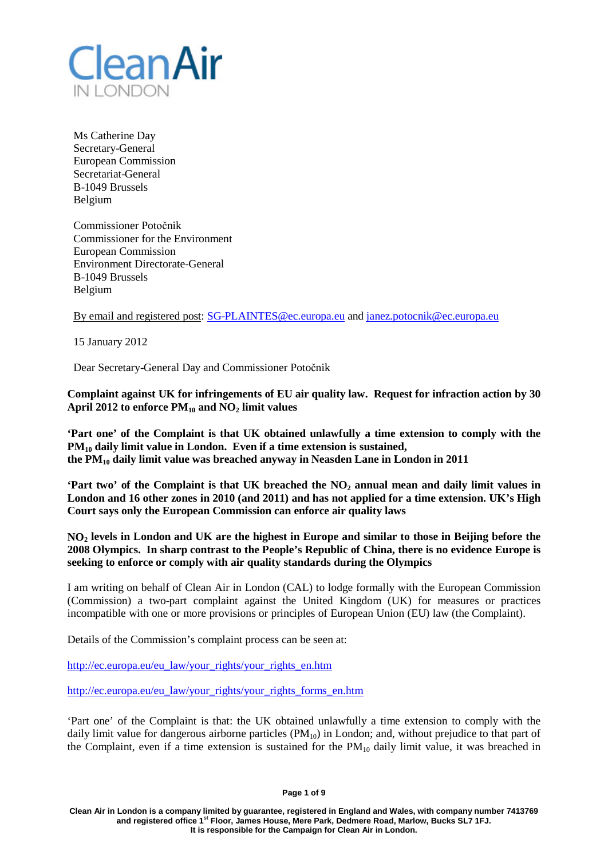

Ms Catherine Day Secretary-General European Commission Secretariat-General B-1049 Brussels Belgium

Commissioner Potočnik Commissioner for the Environment European Commission Environment Directorate-General B-1049 Brussels Belgium

By email and registered post: [SG-PLAINTES@ec.europa.eu](mailto:SG-PLAINTES@ec.europa.eu) and [janez.potocnik@ec.europa.eu](mailto:janez.potocnik@ec.europa.eu)

15 January 2012

Dear Secretary-General Day and Commissioner Potočnik

**Complaint against UK for infringements of EU air quality law. Request for infraction action by 30**  April 2012 to enforce  $PM_{10}$  and  $NO_2$  limit values

**'Part one' of the Complaint is that UK obtained unlawfully a time extension to comply with the PM10 daily limit value in London. Even if a time extension is sustained, the PM10 daily limit value was breached anyway in Neasden Lane in London in 2011**

**'Part two' of the Complaint is that UK breached the NO2 annual mean and daily limit values in London and 16 other zones in 2010 (and 2011) and has not applied for a time extension. UK's High Court says only the European Commission can enforce air quality laws**

**NO2 levels in London and UK are the highest in Europe and similar to those in Beijing before the 2008 Olympics. In sharp contrast to the People's Republic of China, there is no evidence Europe is seeking to enforce or comply with air quality standards during the Olympics**

I am writing on behalf of Clean Air in London (CAL) to lodge formally with the European Commission (Commission) a two-part complaint against the United Kingdom (UK) for measures or practices incompatible with one or more provisions or principles of European Union (EU) law (the Complaint).

Details of the Commission's complaint process can be seen at:

[http://ec.europa.eu/eu\\_law/your\\_rights/your\\_rights\\_en.htm](http://ec.europa.eu/eu_law/your_rights/your_rights_en.htm)

[http://ec.europa.eu/eu\\_law/your\\_rights/your\\_rights\\_forms\\_en.htm](http://ec.europa.eu/eu_law/your_rights/your_rights_forms_en.htm)

'Part one' of the Complaint is that: the UK obtained unlawfully a time extension to comply with the daily limit value for dangerous airborne particles (PM<sub>10</sub>) in London; and, without prejudice to that part of the Complaint, even if a time extension is sustained for the  $PM_{10}$  daily limit value, it was breached in

**Page 1 of 9**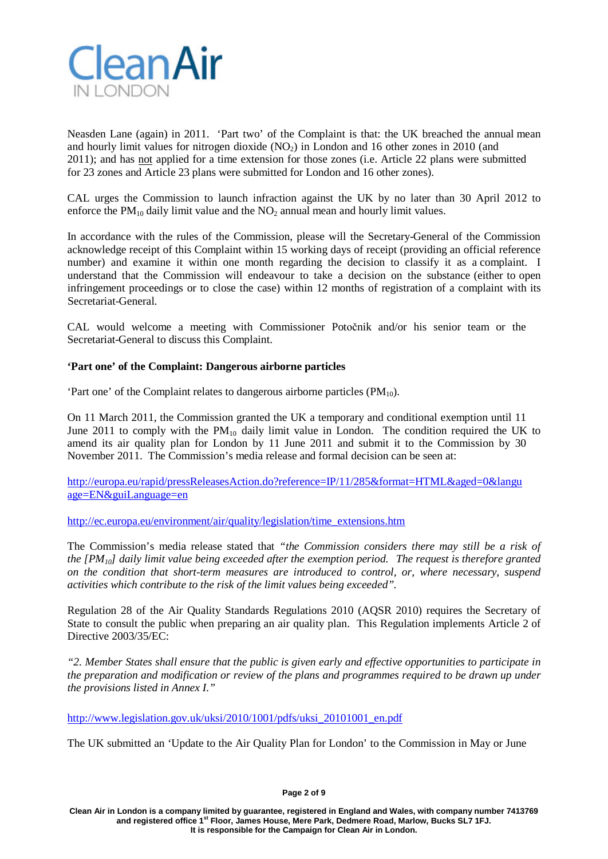

Neasden Lane (again) in 2011. 'Part two' of the Complaint is that: the UK breached the annual mean and hourly limit values for nitrogen dioxide  $(NO<sub>2</sub>)$  in London and 16 other zones in 2010 (and 2011); and has not applied for a time extension for those zones (i.e. Article 22 plans were submitted for 23 zones and Article 23 plans were submitted for London and 16 other zones).

CAL urges the Commission to launch infraction against the UK by no later than 30 April 2012 to enforce the  $PM_{10}$  daily limit value and the  $NO_2$  annual mean and hourly limit values.

In accordance with the rules of the Commission, please will the Secretary-General of the Commission acknowledge receipt of this Complaint within 15 working days of receipt (providing an official reference number) and examine it within one month regarding the decision to classify it as a complaint. I understand that the Commission will endeavour to take a decision on the substance (either to open infringement proceedings or to close the case) within 12 months of registration of a complaint with its Secretariat-General.

CAL would welcome a meeting with Commissioner Potočnik and/or his senior team or the Secretariat-General to discuss this Complaint.

# **'Part one' of the Complaint: Dangerous airborne particles**

'Part one' of the Complaint relates to dangerous airborne particles  $(PM_{10})$ .

On 11 March 2011, the Commission granted the UK a temporary and conditional exemption until 11 June 2011 to comply with the  $PM_{10}$  daily limit value in London. The condition required the UK to amend its air quality plan for London by 11 June 2011 and submit it to the Commission by 30 November 2011. The Commission's media release and formal decision can be seen at:

[http://europa.eu/rapid/pressReleasesAction.do?reference=IP/11/285&format=HTML&aged=0&langu](http://europa.eu/rapid/pressReleasesAction.do?reference=IP/11/285&format=HTML&aged=0&langu%20age=EN&guiLanguage=en) [age=EN&guiLanguage=en](http://europa.eu/rapid/pressReleasesAction.do?reference=IP/11/285&format=HTML&aged=0&langu%20age=EN&guiLanguage=en)

[http://ec.europa.eu/environment/air/quality/legislation/time\\_extensions.htm](http://ec.europa.eu/environment/air/quality/legislation/time_extensions.htm)

The Commission's media release stated that *"the Commission considers there may still be a risk of the [PM10] daily limit value being exceeded after the exemption period. The request is therefore granted on the condition that short-term measures are introduced to control, or, where necessary, suspend activities which contribute to the risk of the limit values being exceeded".*

Regulation 28 of the Air Quality Standards Regulations 2010 (AQSR 2010) requires the Secretary of State to consult the public when preparing an air quality plan. This Regulation implements Article 2 of Directive 2003/35/EC:

*"2. Member States shall ensure that the public is given early and effective opportunities to participate in the preparation and modification or review of the plans and programmes required to be drawn up under the provisions listed in Annex I."*

[http://www.legislation.gov.uk/uksi/2010/1001/pdfs/uksi\\_20101001\\_en.pdf](http://www.legislation.gov.uk/uksi/2010/1001/pdfs/uksi_20101001_en.pdf)

The UK submitted an 'Update to the Air Quality Plan for London' to the Commission in May or June

**Page 2 of 9**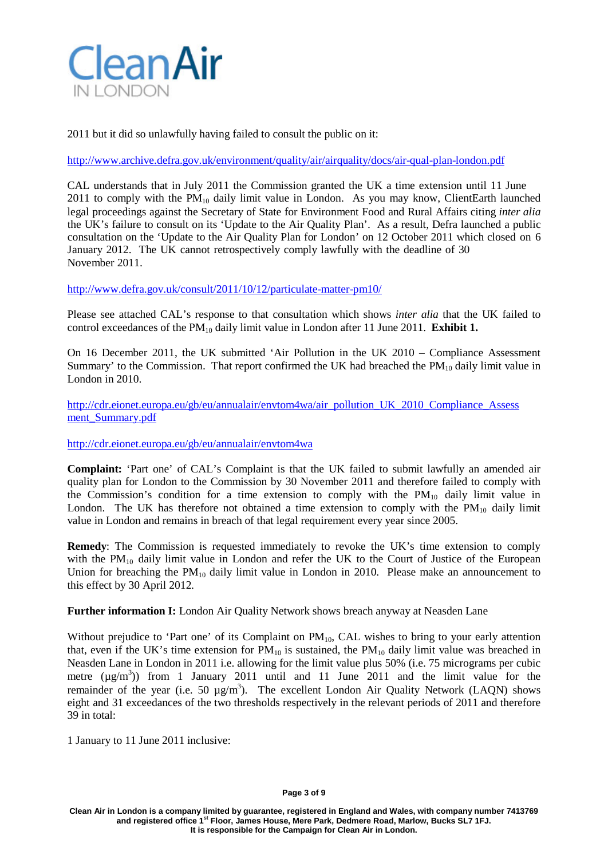

2011 but it did so unlawfully having failed to consult the public on it:

<http://www.archive.defra.gov.uk/environment/quality/air/airquality/docs/air-qual-plan-london.pdf>

CAL understands that in July 2011 the Commission granted the UK a time extension until 11 June 2011 to comply with the  $PM_{10}$  daily limit value in London. As you may know, ClientEarth launched legal proceedings against the Secretary of State for Environment Food and Rural Affairs citing *inter alia*  the UK's failure to consult on its 'Update to the Air Quality Plan'. As a result, Defra launched a public consultation on the 'Update to the Air Quality Plan for London' on 12 October 2011 which closed on 6 January 2012. The UK cannot retrospectively comply lawfully with the deadline of 30 November 2011.

<http://www.defra.gov.uk/consult/2011/10/12/particulate-matter-pm10/>

Please see attached CAL's response to that consultation which shows *inter alia* that the UK failed to control exceedances of the PM<sub>10</sub> daily limit value in London after 11 June 2011. **Exhibit 1.** 

On 16 December 2011, the UK submitted 'Air Pollution in the UK 2010 – Compliance Assessment Summary' to the Commission. That report confirmed the UK had breached the  $PM_{10}$  daily limit value in London in 2010.

[http://cdr.eionet.europa.eu/gb/eu/annualair/envtom4wa/air\\_pollution\\_UK\\_2010\\_Compliance\\_Assess](http://cdr.eionet.europa.eu/gb/eu/annualair/envtom4wa/air_pollution_UK_2010_Compliance_Assessment_Summary.pdf) [ment\\_Summary.pdf](http://cdr.eionet.europa.eu/gb/eu/annualair/envtom4wa/air_pollution_UK_2010_Compliance_Assessment_Summary.pdf)

<http://cdr.eionet.europa.eu/gb/eu/annualair/envtom4wa>

**Complaint:** 'Part one' of CAL's Complaint is that the UK failed to submit lawfully an amended air quality plan for London to the Commission by 30 November 2011 and therefore failed to comply with the Commission's condition for a time extension to comply with the  $PM_{10}$  daily limit value in London. The UK has therefore not obtained a time extension to comply with the  $PM_{10}$  daily limit value in London and remains in breach of that legal requirement every year since 2005.

**Remedy**: The Commission is requested immediately to revoke the UK's time extension to comply with the  $PM_{10}$  daily limit value in London and refer the UK to the Court of Justice of the European Union for breaching the  $PM_{10}$  daily limit value in London in 2010. Please make an announcement to this effect by 30 April 2012.

**Further information I:** London Air Quality Network shows breach anyway at Neasden Lane

Without prejudice to 'Part one' of its Complaint on PM<sub>10</sub>, CAL wishes to bring to your early attention that, even if the UK's time extension for  $PM_{10}$  is sustained, the  $PM_{10}$  daily limit value was breached in Neasden Lane in London in 2011 i.e. allowing for the limit value plus 50% (i.e. 75 micrograms per cubic metre  $(\mu g/m^3)$  from 1 January 2011 until and 11 June 2011 and the limit value for the remainder of the year (i.e. 50  $\mu$ g/m<sup>3</sup>). The excellent London Air Quality Network (LAQN) shows eight and 31 exceedances of the two thresholds respectively in the relevant periods of 2011 and therefore 39 in total:

1 January to 11 June 2011 inclusive: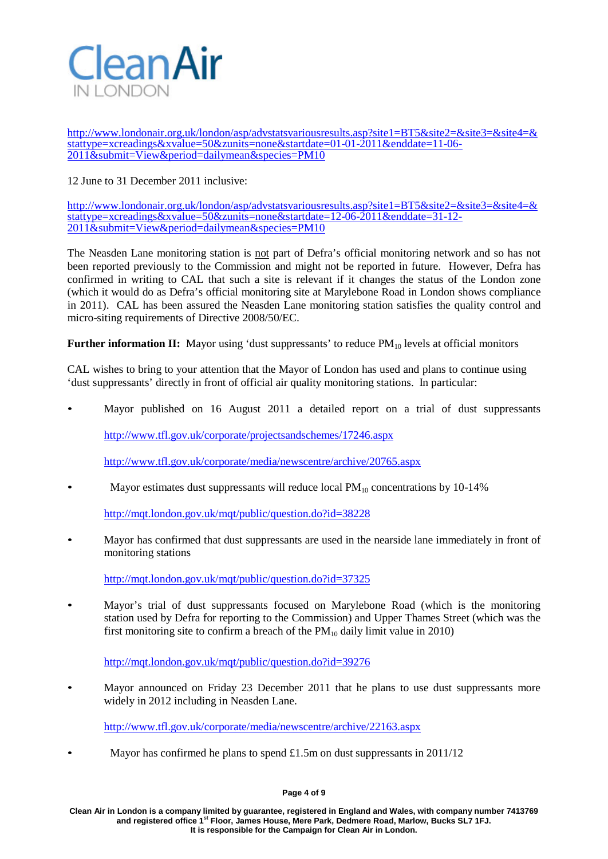

[http://www.londonair.org.uk/london/asp/advstatsvariousresults.asp?site1=BT5&site2=&site3=&site4=&](http://www.londonair.org.uk/london/asp/advstatsvariousresults.asp?site1=BT5&site2=&site3=&site4=&stattype=xcreadings&xvalue=50&zunits=none&startdate=01-01-2011&enddate=11-06-2011&submit=View&period=dailymean&species=PM10) [stattype=xcreadings&xvalue=50&zunits=none&startdate=01-01-2011&enddate=11-06-](http://www.londonair.org.uk/london/asp/advstatsvariousresults.asp?site1=BT5&site2=&site3=&site4=&stattype=xcreadings&xvalue=50&zunits=none&startdate=01-01-2011&enddate=11-06-2011&submit=View&period=dailymean&species=PM10) [2011&submit=View&period=dailymean&species=PM10](http://www.londonair.org.uk/london/asp/advstatsvariousresults.asp?site1=BT5&site2=&site3=&site4=&stattype=xcreadings&xvalue=50&zunits=none&startdate=01-01-2011&enddate=11-06-2011&submit=View&period=dailymean&species=PM10)

12 June to 31 December 2011 inclusive:

[http://www.londonair.org.uk/london/asp/advstatsvariousresults.asp?site1=BT5&site2=&site3=&site4=&](http://www.londonair.org.uk/london/asp/advstatsvariousresults.asp?site1=BT5&site2=&site3=&site4=&stattype=xcreadings&xvalue=50&zunits=none&startdate=12-06-2011&enddate=31-12-2011&submit=View&period=dailymean&species=PM10) [stattype=xcreadings&xvalue=50&zunits=none&startdate=12-06-2011&enddate=31-12-](http://www.londonair.org.uk/london/asp/advstatsvariousresults.asp?site1=BT5&site2=&site3=&site4=&stattype=xcreadings&xvalue=50&zunits=none&startdate=12-06-2011&enddate=31-12-2011&submit=View&period=dailymean&species=PM10) [2011&submit=View&period=dailymean&species=PM10](http://www.londonair.org.uk/london/asp/advstatsvariousresults.asp?site1=BT5&site2=&site3=&site4=&stattype=xcreadings&xvalue=50&zunits=none&startdate=12-06-2011&enddate=31-12-2011&submit=View&period=dailymean&species=PM10)

The Neasden Lane monitoring station is not part of Defra's official monitoring network and so has not been reported previously to the Commission and might not be reported in future. However, Defra has confirmed in writing to CAL that such a site is relevant if it changes the status of the London zone (which it would do as Defra's official monitoring site at Marylebone Road in London shows compliance in 2011). CAL has been assured the Neasden Lane monitoring station satisfies the quality control and micro-siting requirements of Directive 2008/50/EC.

**Further information II:** Mayor using 'dust suppressants' to reduce PM<sub>10</sub> levels at official monitors

CAL wishes to bring to your attention that the Mayor of London has used and plans to continue using 'dust suppressants' directly in front of official air quality monitoring stations. In particular:

• Mayor published on 16 August 2011 a detailed report on a trial of dust suppressants

<http://www.tfl.gov.uk/corporate/projectsandschemes/17246.aspx>

<http://www.tfl.gov.uk/corporate/media/newscentre/archive/20765.aspx>

Mayor estimates dust suppressants will reduce local  $PM_{10}$  concentrations by 10-14%

<http://mqt.london.gov.uk/mqt/public/question.do?id=38228>

• Mayor has confirmed that dust suppressants are used in the nearside lane immediately in front of monitoring stations

<http://mqt.london.gov.uk/mqt/public/question.do?id=37325>

• Mayor's trial of dust suppressants focused on Marylebone Road (which is the monitoring station used by Defra for reporting to the Commission) and Upper Thames Street (which was the first monitoring site to confirm a breach of the  $PM_{10}$  daily limit value in 2010)

<http://mqt.london.gov.uk/mqt/public/question.do?id=39276>

• Mayor announced on Friday 23 December 2011 that he plans to use dust suppressants more widely in 2012 including in Neasden Lane.

<http://www.tfl.gov.uk/corporate/media/newscentre/archive/22163.aspx>

Mayor has confirmed he plans to spend  $\pounds1.5m$  on dust suppressants in 2011/12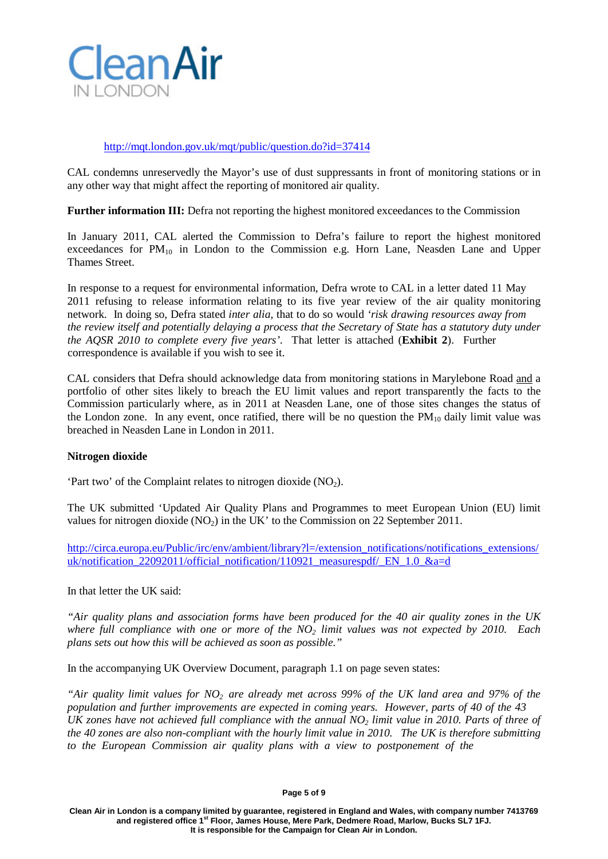

# <http://mqt.london.gov.uk/mqt/public/question.do?id=37414>

CAL condemns unreservedly the Mayor's use of dust suppressants in front of monitoring stations or in any other way that might affect the reporting of monitored air quality.

**Further information III:** Defra not reporting the highest monitored exceedances to the Commission

In January 2011, CAL alerted the Commission to Defra's failure to report the highest monitored exceedances for  $PM_{10}$  in London to the Commission e.g. Horn Lane, Neasden Lane and Upper Thames Street.

In response to a request for environmental information, Defra wrote to CAL in a letter dated 11 May 2011 refusing to release information relating to its five year review of the air quality monitoring network. In doing so, Defra stated *inter alia*, that to do so would *'risk drawing resources away from the review itself and potentially delaying a process that the Secretary of State has a statutory duty under the AQSR 2010 to complete every five years'*. That letter is attached (**Exhibit 2**). Further correspondence is available if you wish to see it.

CAL considers that Defra should acknowledge data from monitoring stations in Marylebone Road and a portfolio of other sites likely to breach the EU limit values and report transparently the facts to the Commission particularly where, as in 2011 at Neasden Lane, one of those sites changes the status of the London zone. In any event, once ratified, there will be no question the  $PM_{10}$  daily limit value was breached in Neasden Lane in London in 2011.

# **Nitrogen dioxide**

'Part two' of the Complaint relates to nitrogen dioxide  $(NO<sub>2</sub>)$ .

The UK submitted 'Updated Air Quality Plans and Programmes to meet European Union (EU) limit values for nitrogen dioxide  $(NO<sub>2</sub>)$  in the UK' to the Commission on 22 September 2011.

[http://circa.europa.eu/Public/irc/env/ambient/library?l=/extension\\_notifications/notifications\\_extensions/](http://circa.europa.eu/Public/irc/env/ambient/library?l=/extension_notifications/notifications_extensions/uk/notification_22092011/official_notification/110921_measurespdf/_EN_1.0_&a=d) uk/notification 22092011/official notification/110921 measurespdf/ EN 1.0 &a=d

In that letter the UK said:

*"Air quality plans and association forms have been produced for the 40 air quality zones in the UK where full compliance with one or more of the NO2 limit values was not expected by 2010. Each plans sets out how this will be achieved as soon as possible."*

In the accompanying UK Overview Document, paragraph 1.1 on page seven states:

"Air quality limit values for  $NO<sub>2</sub>$  are already met across 99% of the UK land area and 97% of the *population and further improvements are expected in coming years. However, parts of 40 of the 43 UK zones have not achieved full compliance with the annual NO2 limit value in 2010. Parts of three of the 40 zones are also non-compliant with the hourly limit value in 2010. The UK is therefore submitting to the European Commission air quality plans with a view to postponement of the*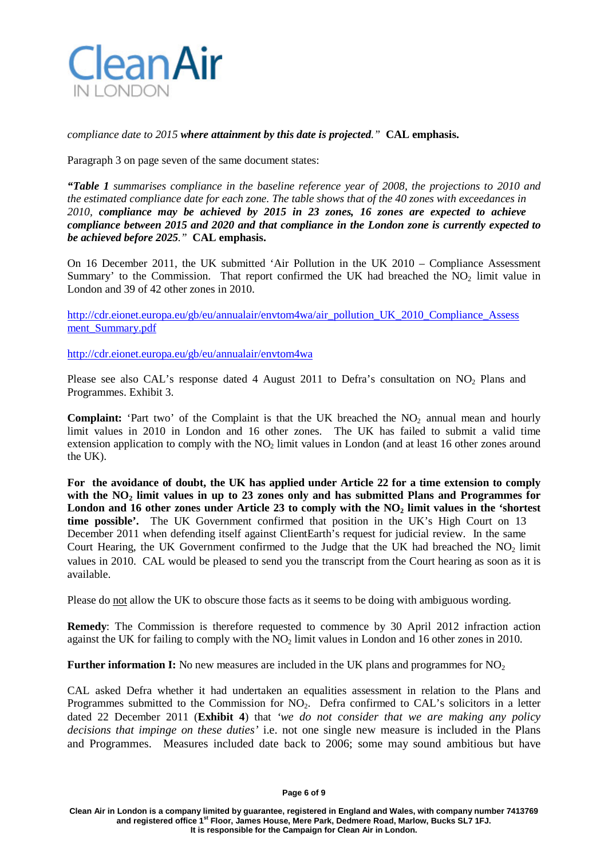

*compliance date to 2015 where attainment by this date is projected."* **CAL emphasis.**

Paragraph 3 on page seven of the same document states:

*"Table 1 summarises compliance in the baseline reference year of 2008, the projections to 2010 and the estimated compliance date for each zone. The table shows that of the 40 zones with exceedances in 2010, compliance may be achieved by 2015 in 23 zones, 16 zones are expected to achieve compliance between 2015 and 2020 and that compliance in the London zone is currently expected to be achieved before 2025."* **CAL emphasis.**

On 16 December 2011, the UK submitted 'Air Pollution in the UK 2010 – Compliance Assessment Summary' to the Commission. That report confirmed the UK had breached the  $NO<sub>2</sub>$  limit value in London and 39 of 42 other zones in 2010.

[http://cdr.eionet.europa.eu/gb/eu/annualair/envtom4wa/air\\_pollution\\_UK\\_2010\\_Compliance\\_Assess](http://cdr.eionet.europa.eu/gb/eu/annualair/envtom4wa/air_pollution_UK_2010_Compliance_Assessment_Summary.pdf) [ment\\_Summary.pdf](http://cdr.eionet.europa.eu/gb/eu/annualair/envtom4wa/air_pollution_UK_2010_Compliance_Assessment_Summary.pdf)

<http://cdr.eionet.europa.eu/gb/eu/annualair/envtom4wa>

Please see also CAL's response dated 4 August 2011 to Defra's consultation on NO<sub>2</sub> Plans and Programmes. Exhibit 3.

**Complaint:** 'Part two' of the Complaint is that the UK breached the  $NO<sub>2</sub>$  annual mean and hourly limit values in 2010 in London and 16 other zones. The UK has failed to submit a valid time extension application to comply with the  $NO<sub>2</sub>$  limit values in London (and at least 16 other zones around the UK).

**For the avoidance of doubt, the UK has applied under Article 22 for a time extension to comply with the NO2 limit values in up to 23 zones only and has submitted Plans and Programmes for London and 16 other zones under Article 23 to comply with the NO2 limit values in the 'shortest time possible'.** The UK Government confirmed that position in the UK's High Court on 13 December 2011 when defending itself against ClientEarth's request for judicial review. In the same Court Hearing, the UK Government confirmed to the Judge that the UK had breached the  $NO<sub>2</sub>$  limit values in 2010. CAL would be pleased to send you the transcript from the Court hearing as soon as it is available.

Please do not allow the UK to obscure those facts as it seems to be doing with ambiguous wording.

**Remedy**: The Commission is therefore requested to commence by 30 April 2012 infraction action against the UK for failing to comply with the NO2 limit values in London and 16 other zones in 2010.

**Further information I:** No new measures are included in the UK plans and programmes for NO<sub>2</sub>

CAL asked Defra whether it had undertaken an equalities assessment in relation to the Plans and Programmes submitted to the Commission for  $NO<sub>2</sub>$ . Defra confirmed to CAL's solicitors in a letter dated 22 December 2011 (**Exhibit 4**) that *'we do not consider that we are making any policy decisions that impinge on these duties'* i.e. not one single new measure is included in the Plans and Programmes. Measures included date back to 2006; some may sound ambitious but have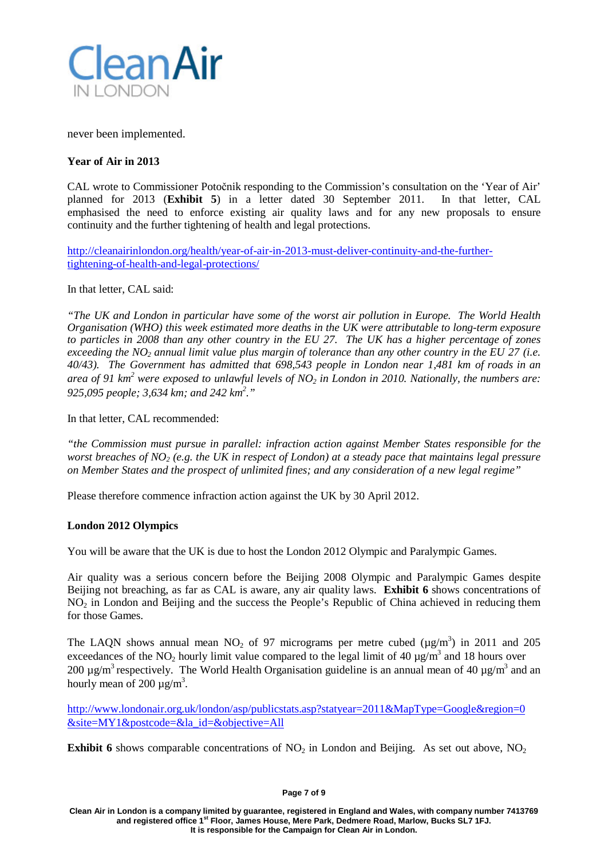

never been implemented.

# **Year of Air in 2013**

CAL wrote to Commissioner Potočnik responding to the Commission's consultation on the 'Year of Air' planned for 2013 (**Exhibit 5**) in a letter dated 30 September 2011. In that letter, CAL emphasised the need to enforce existing air quality laws and for any new proposals to ensure continuity and the further tightening of health and legal protections.

[http://cleanairinlondon.org/health/year-of-air-in-2013-must-deliver-continuity-and-the-further](http://cleanairinlondon.org/wp-admin/health%20and%20legal%20protections.%20%20http:/cleanair.webdev5.co.uk/health/year-of-air-in-2013-must-deliver-continuity-and-the-further-tightening-of-health-and-legal-protections/)[tightening-of-health-and-legal-protections/](http://cleanairinlondon.org/wp-admin/health%20and%20legal%20protections.%20%20http:/cleanair.webdev5.co.uk/health/year-of-air-in-2013-must-deliver-continuity-and-the-further-tightening-of-health-and-legal-protections/)

### In that letter, CAL said:

*"The UK and London in particular have some of the worst air pollution in Europe. The World Health Organisation (WHO) this week estimated more deaths in the UK were attributable to long-term exposure to particles in 2008 than any other country in the EU 27. The UK has a higher percentage of zones* exceeding the  $NO<sub>2</sub>$  annual limit value plus margin of tolerance than any other country in the EU 27 (i.e. *40/43). The Government has admitted that 698,543 people in London near 1,481 km of roads in an* area of 91 km<sup>2</sup> were exposed to unlawful levels of NO<sub>2</sub> in London in 2010. Nationally, the numbers are: *925,095 people; 3,634 km; and 242 km 2 ."*

In that letter, CAL recommended:

*"the Commission must pursue in parallel: infraction action against Member States responsible for the worst breaches of NO2 (e.g. the UK in respect of London) at a steady pace that maintains legal pressure on Member States and the prospect of unlimited fines; and any consideration of a new legal regime"*

Please therefore commence infraction action against the UK by 30 April 2012.

# **London 2012 Olympics**

You will be aware that the UK is due to host the London 2012 Olympic and Paralympic Games.

Air quality was a serious concern before the Beijing 2008 Olympic and Paralympic Games despite Beijing not breaching, as far as CAL is aware, any air quality laws. **Exhibit 6** shows concentrations of NO2 in London and Beijing and the success the People's Republic of China achieved in reducing them for those Games.

The LAQN shows annual mean  $NO_2$  of 97 micrograms per metre cubed ( $\mu$ g/m<sup>3</sup>) in 2011 and 205 exceedances of the NO<sub>2</sub> hourly limit value compared to the legal limit of 40  $\mu$ g/m<sup>3</sup> and 18 hours over 200  $\mu$ g/m<sup>3</sup> respectively. The World Health Organisation guideline is an annual mean of 40  $\mu$ g/m<sup>3</sup> and an hourly mean of 200  $\mu$ g/m<sup>3</sup>.

[http://www.londonair.org.uk/london/asp/publicstats.asp?statyear=2011&MapType=Google&region=0](http://www.londonair.org.uk/london/asp/publicstats.asp?statyear=2011&MapType=Google&region=0&site=MY1&postcode&la_id&objective=All) [&site=MY1&postcode=&la\\_id=&objective=All](http://www.londonair.org.uk/london/asp/publicstats.asp?statyear=2011&MapType=Google&region=0&site=MY1&postcode&la_id&objective=All)

**Exhibit 6** shows comparable concentrations of  $NO<sub>2</sub>$  in London and Beijing. As set out above,  $NO<sub>2</sub>$ 

#### **Page 7 of 9**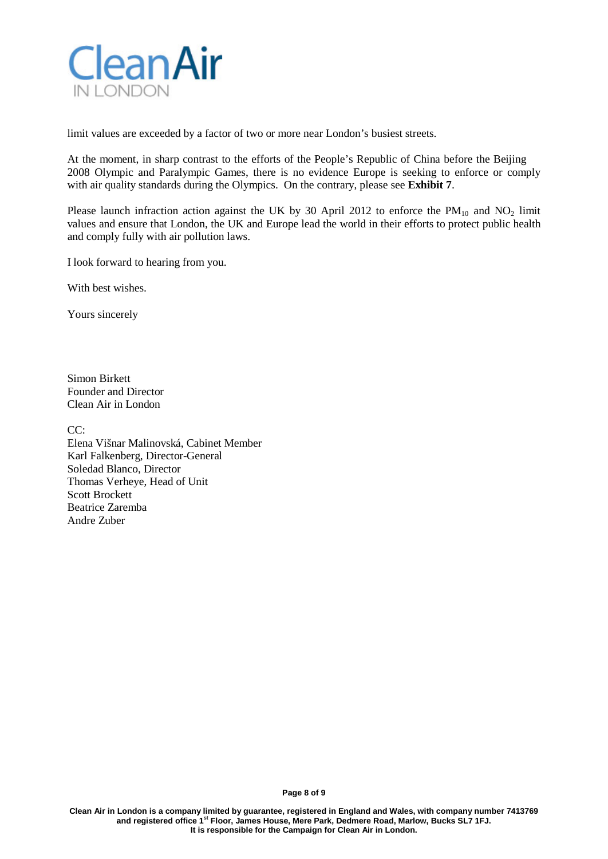

limit values are exceeded by a factor of two or more near London's busiest streets.

At the moment, in sharp contrast to the efforts of the People's Republic of China before the Beijing 2008 Olympic and Paralympic Games, there is no evidence Europe is seeking to enforce or comply with air quality standards during the Olympics. On the contrary, please see **Exhibit 7**.

Please launch infraction action against the UK by 30 April 2012 to enforce the  $PM_{10}$  and  $NO_2$  limit values and ensure that London, the UK and Europe lead the world in their efforts to protect public health and comply fully with air pollution laws.

I look forward to hearing from you.

With best wishes.

Yours sincerely

Simon Birkett Founder and Director Clean Air in London

CC:

Elena Višnar Malinovská, Cabinet Member Karl Falkenberg, Director-General Soledad Blanco, Director Thomas Verheye, Head of Unit Scott Brockett Beatrice Zaremba Andre Zuber

**Page 8 of 9**